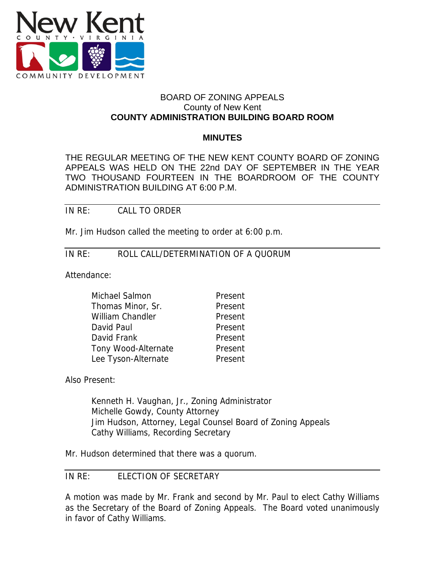

# BOARD OF ZONING APPEALS County of New Kent **COUNTY ADMINISTRATION BUILDING BOARD ROOM**

#### **MINUTES**

THE REGULAR MEETING OF THE NEW KENT COUNTY BOARD OF ZONING APPEALS WAS HELD ON THE 22nd DAY OF SEPTEMBER IN THE YEAR TWO THOUSAND FOURTEEN IN THE BOARDROOM OF THE COUNTY ADMINISTRATION BUILDING AT 6:00 P.M.

IN RE: CALL TO ORDER

Mr. Jim Hudson called the meeting to order at 6:00 p.m.

# IN RE: ROLL CALL/DETERMINATION OF A QUORUM

Attendance:

| Michael Salmon      | Present |
|---------------------|---------|
| Thomas Minor, Sr.   | Present |
| William Chandler    | Present |
| David Paul          | Present |
| David Frank         | Present |
| Tony Wood-Alternate | Present |
| Lee Tyson-Alternate | Present |
|                     |         |

Also Present:

Kenneth H. Vaughan, Jr., Zoning Administrator Michelle Gowdy, County Attorney Jim Hudson, Attorney, Legal Counsel Board of Zoning Appeals Cathy Williams, Recording Secretary

Mr. Hudson determined that there was a quorum.

# IN RE: ELECTION OF SECRETARY

A motion was made by Mr. Frank and second by Mr. Paul to elect Cathy Williams as the Secretary of the Board of Zoning Appeals. The Board voted unanimously in favor of Cathy Williams.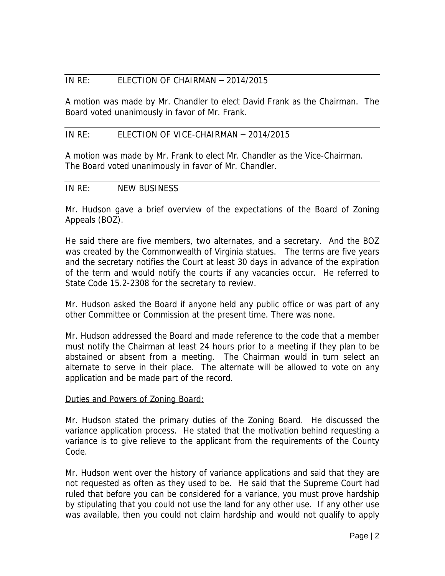# IN RE: ELECTION OF CHAIRMAN – 2014/2015

A motion was made by Mr. Chandler to elect David Frank as the Chairman. The Board voted unanimously in favor of Mr. Frank.

## IN RE: ELECTION OF VICE-CHAIRMAN – 2014/2015

A motion was made by Mr. Frank to elect Mr. Chandler as the Vice-Chairman. The Board voted unanimously in favor of Mr. Chandler.

## IN RE: NEW BUSINESS

Mr. Hudson gave a brief overview of the expectations of the Board of Zoning Appeals (BOZ).

He said there are five members, two alternates, and a secretary. And the BOZ was created by the Commonwealth of Virginia statues. The terms are five years and the secretary notifies the Court at least 30 days in advance of the expiration of the term and would notify the courts if any vacancies occur. He referred to State Code 15.2-2308 for the secretary to review.

Mr. Hudson asked the Board if anyone held any public office or was part of any other Committee or Commission at the present time. There was none.

Mr. Hudson addressed the Board and made reference to the code that a member must notify the Chairman at least 24 hours prior to a meeting if they plan to be abstained or absent from a meeting. The Chairman would in turn select an alternate to serve in their place. The alternate will be allowed to vote on any application and be made part of the record.

## Duties and Powers of Zoning Board:

Mr. Hudson stated the primary duties of the Zoning Board. He discussed the variance application process. He stated that the motivation behind requesting a variance is to give relieve to the applicant from the requirements of the County Code.

Mr. Hudson went over the history of variance applications and said that they are not requested as often as they used to be. He said that the Supreme Court had ruled that before you can be considered for a variance, you must prove hardship by stipulating that you could not use the land for any other use. If any other use was available, then you could not claim hardship and would not qualify to apply